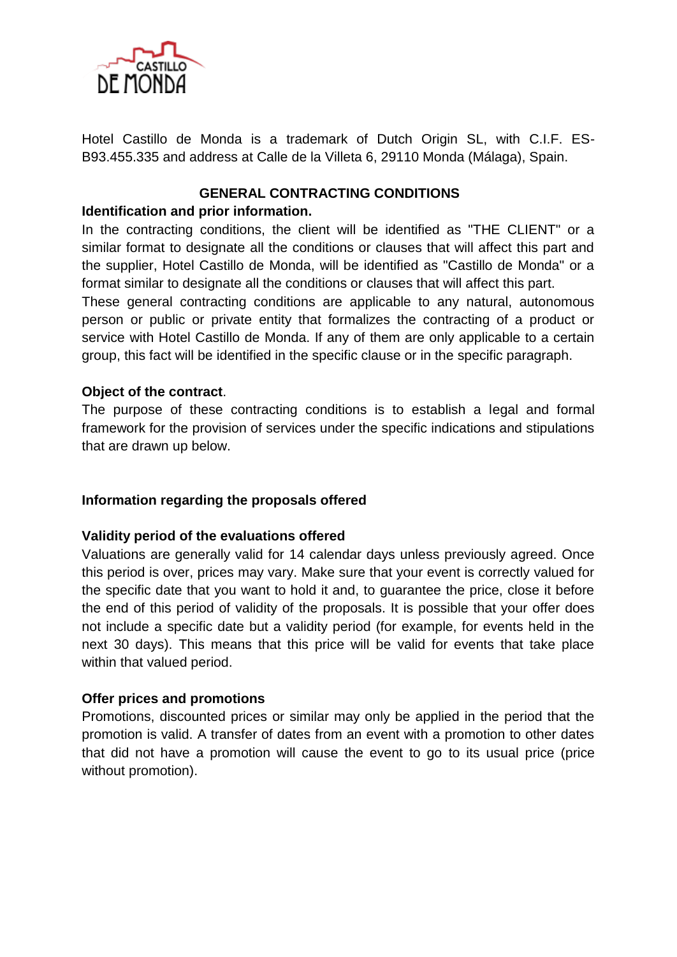

Hotel Castillo de Monda is a trademark of Dutch Origin SL, with C.I.F. ES-B93.455.335 and address at Calle de la Villeta 6, 29110 Monda (Málaga), Spain.

# **GENERAL CONTRACTING CONDITIONS**

### **Identification and prior information.**

In the contracting conditions, the client will be identified as "THE CLIENT" or a similar format to designate all the conditions or clauses that will affect this part and the supplier, Hotel Castillo de Monda, will be identified as "Castillo de Monda" or a format similar to designate all the conditions or clauses that will affect this part.

These general contracting conditions are applicable to any natural, autonomous person or public or private entity that formalizes the contracting of a product or service with Hotel Castillo de Monda. If any of them are only applicable to a certain group, this fact will be identified in the specific clause or in the specific paragraph.

## **Object of the contract**.

The purpose of these contracting conditions is to establish a legal and formal framework for the provision of services under the specific indications and stipulations that are drawn up below.

#### **Information regarding the proposals offered**

#### **Validity period of the evaluations offered**

Valuations are generally valid for 14 calendar days unless previously agreed. Once this period is over, prices may vary. Make sure that your event is correctly valued for the specific date that you want to hold it and, to guarantee the price, close it before the end of this period of validity of the proposals. It is possible that your offer does not include a specific date but a validity period (for example, for events held in the next 30 days). This means that this price will be valid for events that take place within that valued period.

#### **Offer prices and promotions**

Promotions, discounted prices or similar may only be applied in the period that the promotion is valid. A transfer of dates from an event with a promotion to other dates that did not have a promotion will cause the event to go to its usual price (price without promotion).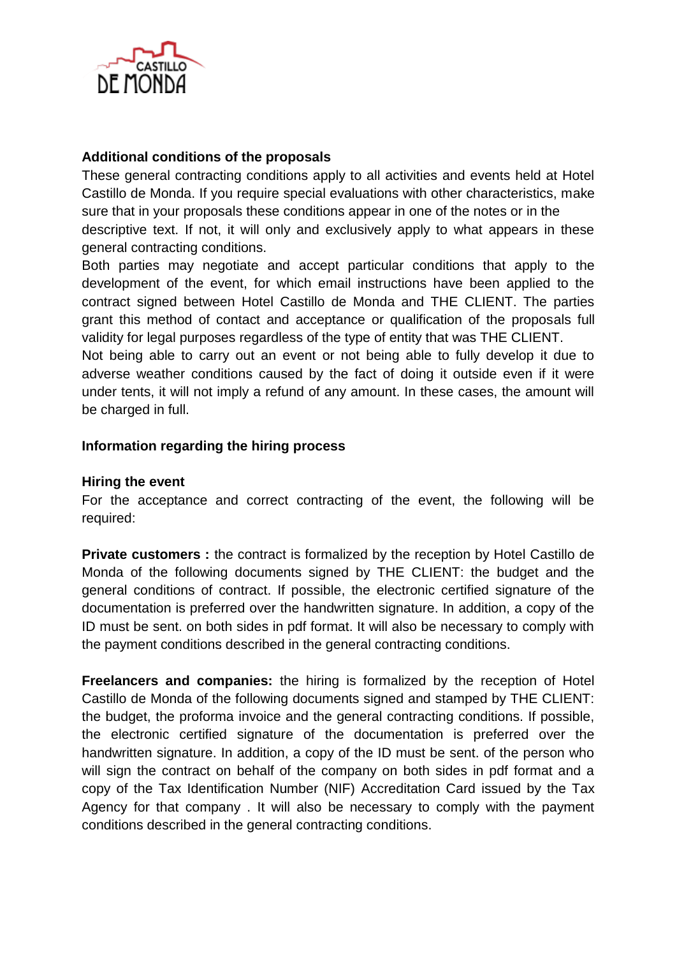

# **Additional conditions of the proposals**

These general contracting conditions apply to all activities and events held at Hotel Castillo de Monda. If you require special evaluations with other characteristics, make sure that in your proposals these conditions appear in one of the notes or in the descriptive text. If not, it will only and exclusively apply to what appears in these general contracting conditions.

Both parties may negotiate and accept particular conditions that apply to the development of the event, for which email instructions have been applied to the contract signed between Hotel Castillo de Monda and THE CLIENT. The parties grant this method of contact and acceptance or qualification of the proposals full validity for legal purposes regardless of the type of entity that was THE CLIENT.

Not being able to carry out an event or not being able to fully develop it due to adverse weather conditions caused by the fact of doing it outside even if it were under tents, it will not imply a refund of any amount. In these cases, the amount will be charged in full.

#### **Information regarding the hiring process**

#### **Hiring the event**

For the acceptance and correct contracting of the event, the following will be required:

**Private customers :** the contract is formalized by the reception by Hotel Castillo de Monda of the following documents signed by THE CLIENT: the budget and the general conditions of contract. If possible, the electronic certified signature of the documentation is preferred over the handwritten signature. In addition, a copy of the ID must be sent. on both sides in pdf format. It will also be necessary to comply with the payment conditions described in the general contracting conditions.

**Freelancers and companies:** the hiring is formalized by the reception of Hotel Castillo de Monda of the following documents signed and stamped by THE CLIENT: the budget, the proforma invoice and the general contracting conditions. If possible, the electronic certified signature of the documentation is preferred over the handwritten signature. In addition, a copy of the ID must be sent. of the person who will sign the contract on behalf of the company on both sides in pdf format and a copy of the Tax Identification Number (NIF) Accreditation Card issued by the Tax Agency for that company . It will also be necessary to comply with the payment conditions described in the general contracting conditions.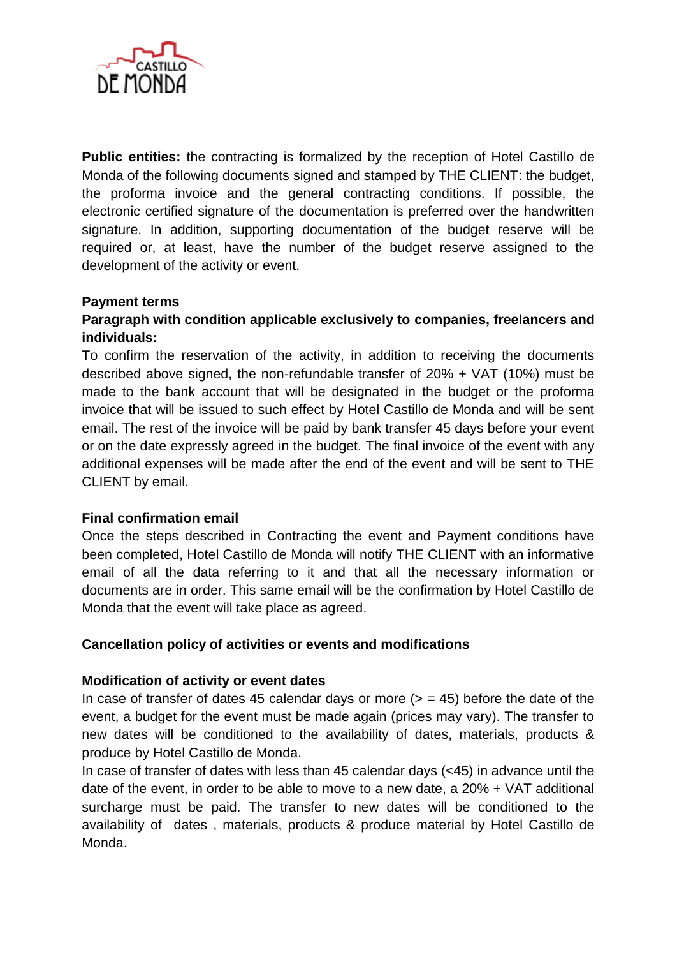

**Public entities:** the contracting is formalized by the reception of Hotel Castillo de Monda of the following documents signed and stamped by THE CLIENT: the budget, the proforma invoice and the general contracting conditions. If possible, the electronic certified signature of the documentation is preferred over the handwritten signature. In addition, supporting documentation of the budget reserve will be required or, at least, have the number of the budget reserve assigned to the development of the activity or event.

## **Payment terms**

# **Paragraph with condition applicable exclusively to companies, freelancers and individuals:**

To confirm the reservation of the activity, in addition to receiving the documents described above signed, the non-refundable transfer of 20% + VAT (10%) must be made to the bank account that will be designated in the budget or the proforma invoice that will be issued to such effect by Hotel Castillo de Monda and will be sent email. The rest of the invoice will be paid by bank transfer 45 days before your event or on the date expressly agreed in the budget. The final invoice of the event with any additional expenses will be made after the end of the event and will be sent to THE CLIENT by email.

#### **Final confirmation email**

Once the steps described in Contracting the event and Payment conditions have been completed, Hotel Castillo de Monda will notify THE CLIENT with an informative email of all the data referring to it and that all the necessary information or documents are in order. This same email will be the confirmation by Hotel Castillo de Monda that the event will take place as agreed.

#### **Cancellation policy of activities or events and modifications**

#### **Modification of activity or event dates**

In case of transfer of dates 45 calendar days or more  $(>= 45)$  before the date of the event, a budget for the event must be made again (prices may vary). The transfer to new dates will be conditioned to the availability of dates, materials, products & produce by Hotel Castillo de Monda.

In case of transfer of dates with less than 45 calendar days (<45) in advance until the date of the event, in order to be able to move to a new date, a 20% + VAT additional surcharge must be paid. The transfer to new dates will be conditioned to the availability of dates , materials, products & produce material by Hotel Castillo de Monda.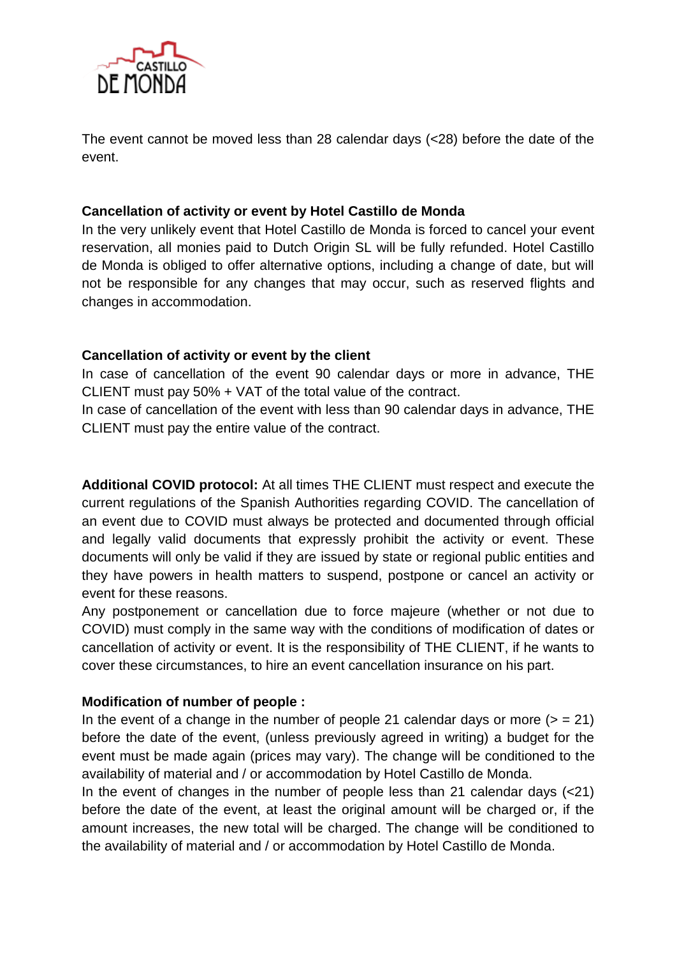

The event cannot be moved less than 28 calendar days (<28) before the date of the event.

# **Cancellation of activity or event by Hotel Castillo de Monda**

In the very unlikely event that Hotel Castillo de Monda is forced to cancel your event reservation, all monies paid to Dutch Origin SL will be fully refunded. Hotel Castillo de Monda is obliged to offer alternative options, including a change of date, but will not be responsible for any changes that may occur, such as reserved flights and changes in accommodation.

# **Cancellation of activity or event by the client**

In case of cancellation of the event 90 calendar days or more in advance, THE CLIENT must pay 50% + VAT of the total value of the contract.

In case of cancellation of the event with less than 90 calendar days in advance, THE CLIENT must pay the entire value of the contract.

**Additional COVID protocol:** At all times THE CLIENT must respect and execute the current regulations of the Spanish Authorities regarding COVID. The cancellation of an event due to COVID must always be protected and documented through official and legally valid documents that expressly prohibit the activity or event. These documents will only be valid if they are issued by state or regional public entities and they have powers in health matters to suspend, postpone or cancel an activity or event for these reasons.

Any postponement or cancellation due to force majeure (whether or not due to COVID) must comply in the same way with the conditions of modification of dates or cancellation of activity or event. It is the responsibility of THE CLIENT, if he wants to cover these circumstances, to hire an event cancellation insurance on his part.

# **Modification of number of people :**

In the event of a change in the number of people 21 calendar days or more  $(>= 21)$ before the date of the event, (unless previously agreed in writing) a budget for the event must be made again (prices may vary). The change will be conditioned to the availability of material and / or accommodation by Hotel Castillo de Monda.

In the event of changes in the number of people less than 21 calendar days  $\left($ <21) before the date of the event, at least the original amount will be charged or, if the amount increases, the new total will be charged. The change will be conditioned to the availability of material and / or accommodation by Hotel Castillo de Monda.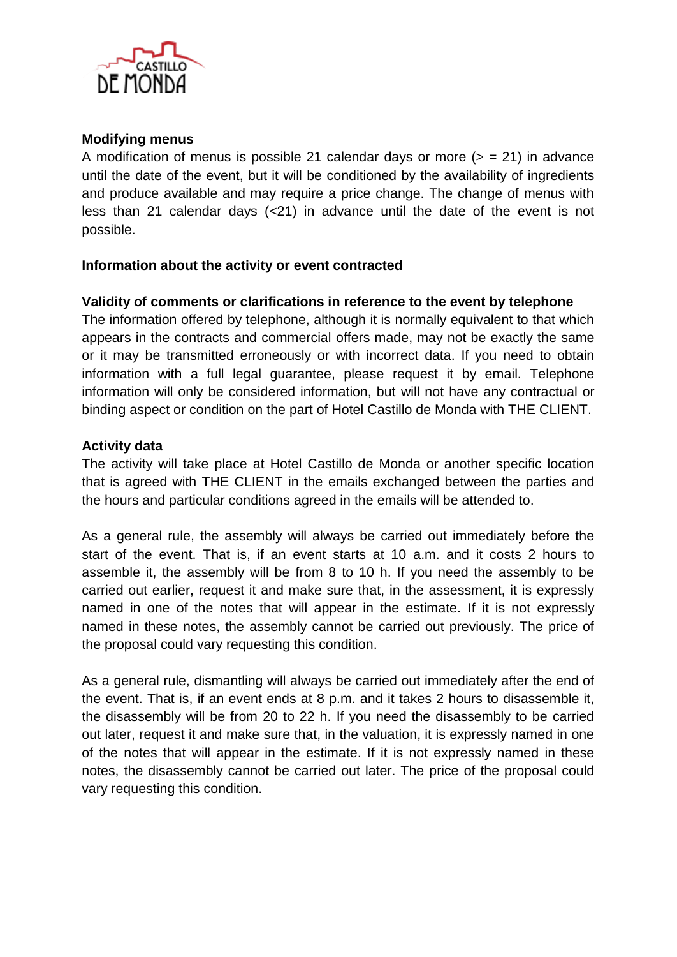

## **Modifying menus**

A modification of menus is possible 21 calendar days or more  $(>= 21)$  in advance until the date of the event, but it will be conditioned by the availability of ingredients and produce available and may require a price change. The change of menus with less than 21 calendar days (<21) in advance until the date of the event is not possible.

## **Information about the activity or event contracted**

## **Validity of comments or clarifications in reference to the event by telephone**

The information offered by telephone, although it is normally equivalent to that which appears in the contracts and commercial offers made, may not be exactly the same or it may be transmitted erroneously or with incorrect data. If you need to obtain information with a full legal guarantee, please request it by email. Telephone information will only be considered information, but will not have any contractual or binding aspect or condition on the part of Hotel Castillo de Monda with THE CLIENT.

## **Activity data**

The activity will take place at Hotel Castillo de Monda or another specific location that is agreed with THE CLIENT in the emails exchanged between the parties and the hours and particular conditions agreed in the emails will be attended to.

As a general rule, the assembly will always be carried out immediately before the start of the event. That is, if an event starts at 10 a.m. and it costs 2 hours to assemble it, the assembly will be from 8 to 10 h. If you need the assembly to be carried out earlier, request it and make sure that, in the assessment, it is expressly named in one of the notes that will appear in the estimate. If it is not expressly named in these notes, the assembly cannot be carried out previously. The price of the proposal could vary requesting this condition.

As a general rule, dismantling will always be carried out immediately after the end of the event. That is, if an event ends at 8 p.m. and it takes 2 hours to disassemble it, the disassembly will be from 20 to 22 h. If you need the disassembly to be carried out later, request it and make sure that, in the valuation, it is expressly named in one of the notes that will appear in the estimate. If it is not expressly named in these notes, the disassembly cannot be carried out later. The price of the proposal could vary requesting this condition.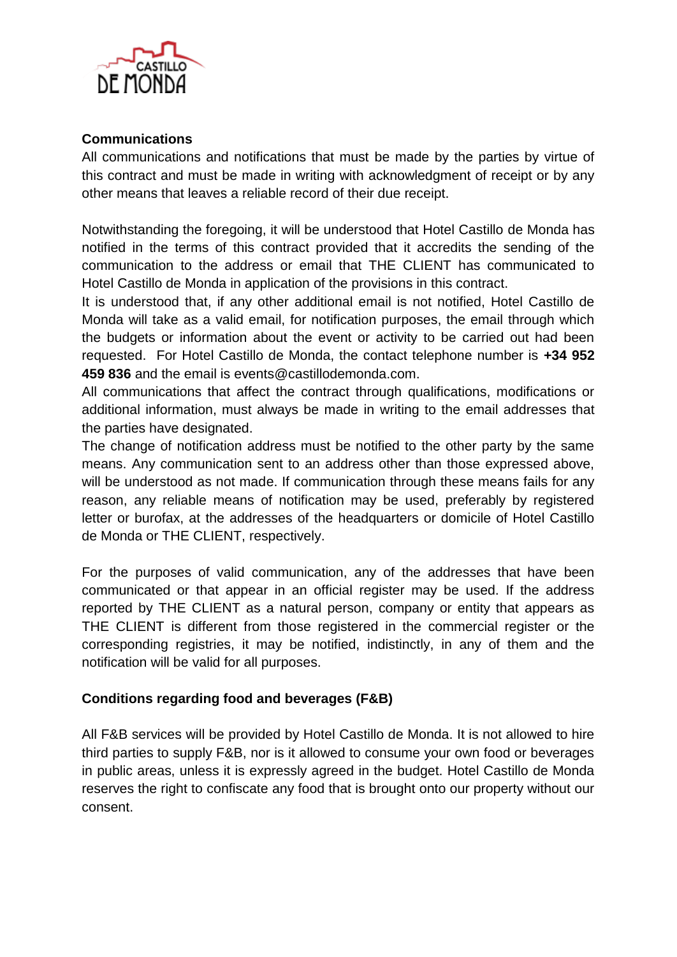

# **Communications**

All communications and notifications that must be made by the parties by virtue of this contract and must be made in writing with acknowledgment of receipt or by any other means that leaves a reliable record of their due receipt.

Notwithstanding the foregoing, it will be understood that Hotel Castillo de Monda has notified in the terms of this contract provided that it accredits the sending of the communication to the address or email that THE CLIENT has communicated to Hotel Castillo de Monda in application of the provisions in this contract.

It is understood that, if any other additional email is not notified, Hotel Castillo de Monda will take as a valid email, for notification purposes, the email through which the budgets or information about the event or activity to be carried out had been requested. For Hotel Castillo de Monda, the contact telephone number is **+34 952 459 836** and the email is events@castillodemonda.com.

All communications that affect the contract through qualifications, modifications or additional information, must always be made in writing to the email addresses that the parties have designated.

The change of notification address must be notified to the other party by the same means. Any communication sent to an address other than those expressed above, will be understood as not made. If communication through these means fails for any reason, any reliable means of notification may be used, preferably by registered letter or burofax, at the addresses of the headquarters or domicile of Hotel Castillo de Monda or THE CLIENT, respectively.

For the purposes of valid communication, any of the addresses that have been communicated or that appear in an official register may be used. If the address reported by THE CLIENT as a natural person, company or entity that appears as THE CLIENT is different from those registered in the commercial register or the corresponding registries, it may be notified, indistinctly, in any of them and the notification will be valid for all purposes.

# **Conditions regarding food and beverages (F&B)**

All F&B services will be provided by Hotel Castillo de Monda. It is not allowed to hire third parties to supply F&B, nor is it allowed to consume your own food or beverages in public areas, unless it is expressly agreed in the budget. Hotel Castillo de Monda reserves the right to confiscate any food that is brought onto our property without our consent.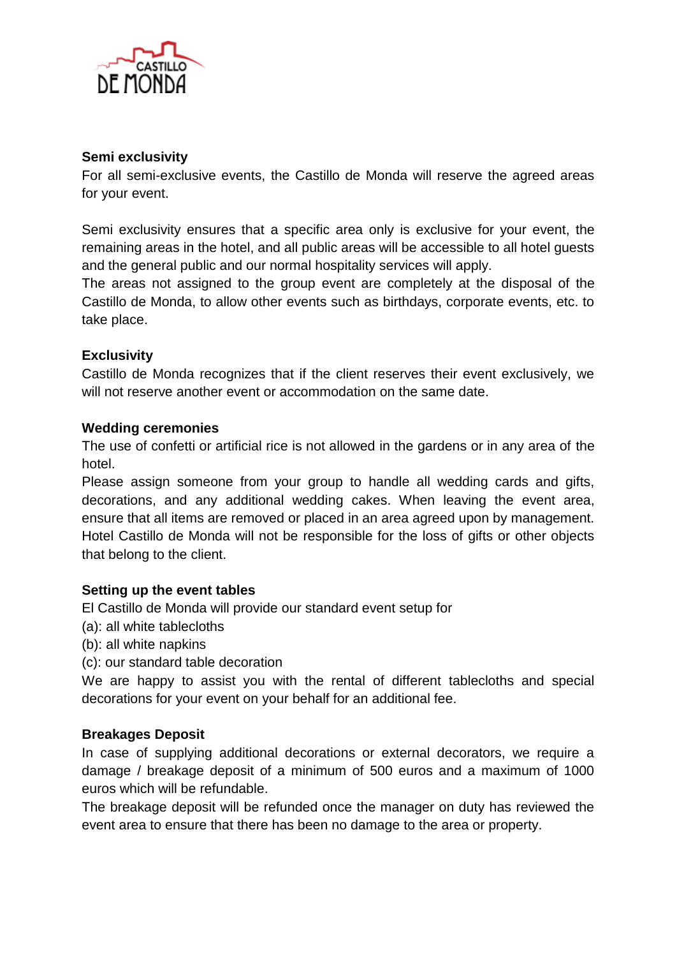

## **Semi exclusivity**

For all semi-exclusive events, the Castillo de Monda will reserve the agreed areas for your event.

Semi exclusivity ensures that a specific area only is exclusive for your event, the remaining areas in the hotel, and all public areas will be accessible to all hotel guests and the general public and our normal hospitality services will apply.

The areas not assigned to the group event are completely at the disposal of the Castillo de Monda, to allow other events such as birthdays, corporate events, etc. to take place.

# **Exclusivity**

Castillo de Monda recognizes that if the client reserves their event exclusively, we will not reserve another event or accommodation on the same date.

#### **Wedding ceremonies**

The use of confetti or artificial rice is not allowed in the gardens or in any area of the hotel.

Please assign someone from your group to handle all wedding cards and gifts, decorations, and any additional wedding cakes. When leaving the event area, ensure that all items are removed or placed in an area agreed upon by management. Hotel Castillo de Monda will not be responsible for the loss of gifts or other objects that belong to the client.

#### **Setting up the event tables**

El Castillo de Monda will provide our standard event setup for

- (a): all white tablecloths
- (b): all white napkins
- (c): our standard table decoration

We are happy to assist you with the rental of different tablecloths and special decorations for your event on your behalf for an additional fee.

#### **Breakages Deposit**

In case of supplying additional decorations or external decorators, we require a damage / breakage deposit of a minimum of 500 euros and a maximum of 1000 euros which will be refundable.

The breakage deposit will be refunded once the manager on duty has reviewed the event area to ensure that there has been no damage to the area or property.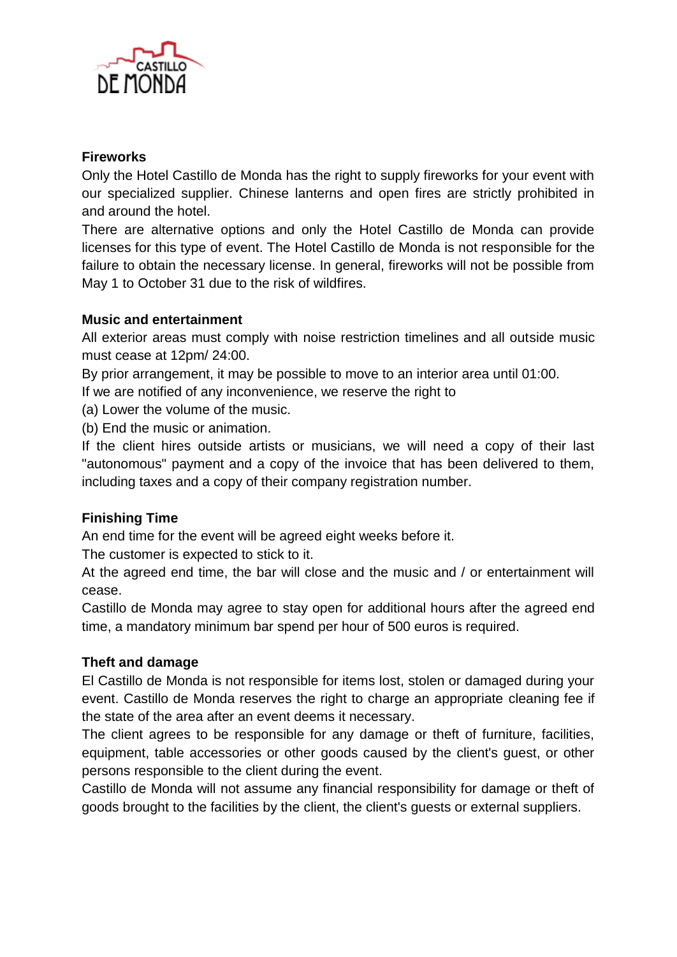

# **Fireworks**

Only the Hotel Castillo de Monda has the right to supply fireworks for your event with our specialized supplier. Chinese lanterns and open fires are strictly prohibited in and around the hotel.

There are alternative options and only the Hotel Castillo de Monda can provide licenses for this type of event. The Hotel Castillo de Monda is not responsible for the failure to obtain the necessary license. In general, fireworks will not be possible from May 1 to October 31 due to the risk of wildfires.

## **Music and entertainment**

All exterior areas must comply with noise restriction timelines and all outside music must cease at 12pm/ 24:00.

By prior arrangement, it may be possible to move to an interior area until 01:00.

If we are notified of any inconvenience, we reserve the right to

(a) Lower the volume of the music.

(b) End the music or animation.

If the client hires outside artists or musicians, we will need a copy of their last "autonomous" payment and a copy of the invoice that has been delivered to them, including taxes and a copy of their company registration number.

# **Finishing Time**

An end time for the event will be agreed eight weeks before it.

The customer is expected to stick to it.

At the agreed end time, the bar will close and the music and / or entertainment will cease.

Castillo de Monda may agree to stay open for additional hours after the agreed end time, a mandatory minimum bar spend per hour of 500 euros is required.

# **Theft and damage**

El Castillo de Monda is not responsible for items lost, stolen or damaged during your event. Castillo de Monda reserves the right to charge an appropriate cleaning fee if the state of the area after an event deems it necessary.

The client agrees to be responsible for any damage or theft of furniture, facilities, equipment, table accessories or other goods caused by the client's guest, or other persons responsible to the client during the event.

Castillo de Monda will not assume any financial responsibility for damage or theft of goods brought to the facilities by the client, the client's guests or external suppliers.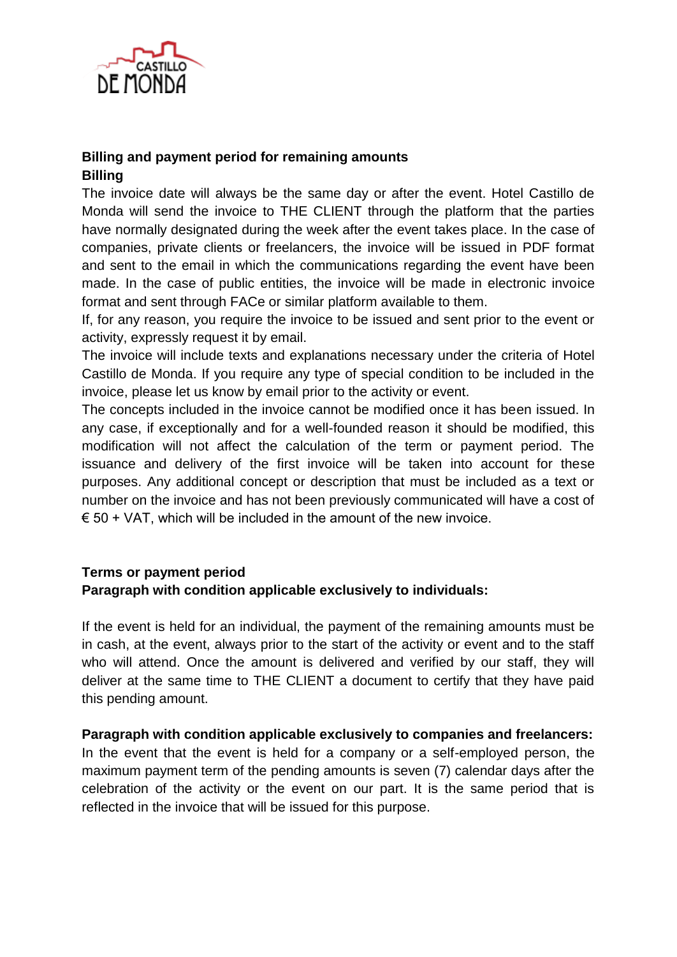

# **Billing and payment period for remaining amounts Billing**

The invoice date will always be the same day or after the event. Hotel Castillo de Monda will send the invoice to THE CLIENT through the platform that the parties have normally designated during the week after the event takes place. In the case of companies, private clients or freelancers, the invoice will be issued in PDF format and sent to the email in which the communications regarding the event have been made. In the case of public entities, the invoice will be made in electronic invoice format and sent through FACe or similar platform available to them.

If, for any reason, you require the invoice to be issued and sent prior to the event or activity, expressly request it by email.

The invoice will include texts and explanations necessary under the criteria of Hotel Castillo de Monda. If you require any type of special condition to be included in the invoice, please let us know by email prior to the activity or event.

The concepts included in the invoice cannot be modified once it has been issued. In any case, if exceptionally and for a well-founded reason it should be modified, this modification will not affect the calculation of the term or payment period. The issuance and delivery of the first invoice will be taken into account for these purposes. Any additional concept or description that must be included as a text or number on the invoice and has not been previously communicated will have a cost of  $\epsilon$  50 + VAT, which will be included in the amount of the new invoice.

## **Terms or payment period Paragraph with condition applicable exclusively to individuals:**

If the event is held for an individual, the payment of the remaining amounts must be in cash, at the event, always prior to the start of the activity or event and to the staff who will attend. Once the amount is delivered and verified by our staff, they will deliver at the same time to THE CLIENT a document to certify that they have paid this pending amount.

**Paragraph with condition applicable exclusively to companies and freelancers:** In the event that the event is held for a company or a self-employed person, the maximum payment term of the pending amounts is seven (7) calendar days after the celebration of the activity or the event on our part. It is the same period that is reflected in the invoice that will be issued for this purpose.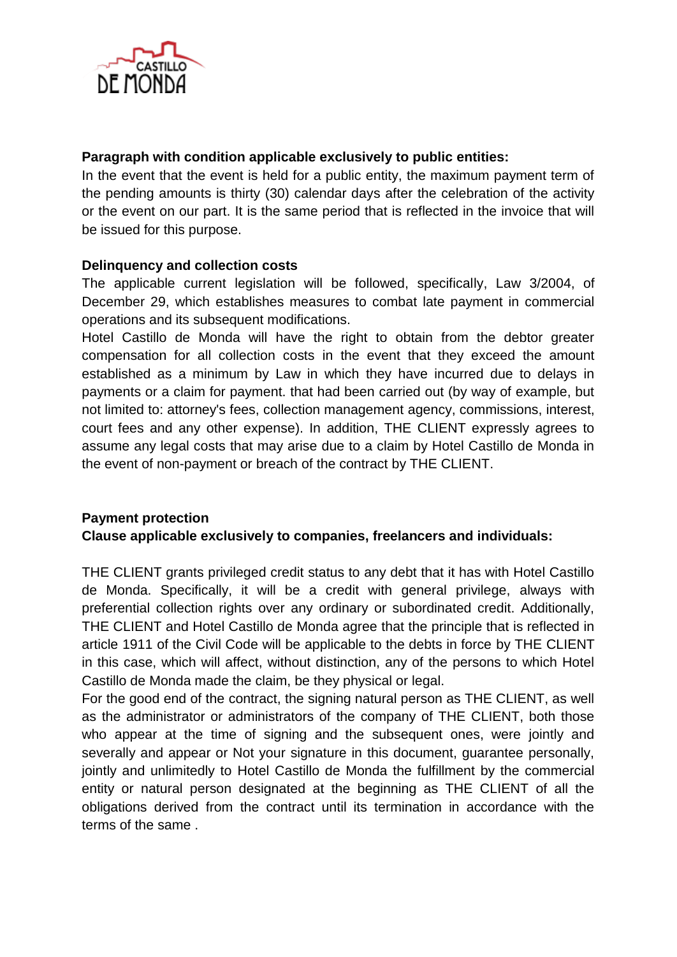

## **Paragraph with condition applicable exclusively to public entities:**

In the event that the event is held for a public entity, the maximum payment term of the pending amounts is thirty (30) calendar days after the celebration of the activity or the event on our part. It is the same period that is reflected in the invoice that will be issued for this purpose.

## **Delinquency and collection costs**

The applicable current legislation will be followed, specifically, Law 3/2004, of December 29, which establishes measures to combat late payment in commercial operations and its subsequent modifications.

Hotel Castillo de Monda will have the right to obtain from the debtor greater compensation for all collection costs in the event that they exceed the amount established as a minimum by Law in which they have incurred due to delays in payments or a claim for payment. that had been carried out (by way of example, but not limited to: attorney's fees, collection management agency, commissions, interest, court fees and any other expense). In addition, THE CLIENT expressly agrees to assume any legal costs that may arise due to a claim by Hotel Castillo de Monda in the event of non-payment or breach of the contract by THE CLIENT.

# **Payment protection Clause applicable exclusively to companies, freelancers and individuals:**

THE CLIENT grants privileged credit status to any debt that it has with Hotel Castillo de Monda. Specifically, it will be a credit with general privilege, always with preferential collection rights over any ordinary or subordinated credit. Additionally, THE CLIENT and Hotel Castillo de Monda agree that the principle that is reflected in article 1911 of the Civil Code will be applicable to the debts in force by THE CLIENT in this case, which will affect, without distinction, any of the persons to which Hotel Castillo de Monda made the claim, be they physical or legal.

For the good end of the contract, the signing natural person as THE CLIENT, as well as the administrator or administrators of the company of THE CLIENT, both those who appear at the time of signing and the subsequent ones, were jointly and severally and appear or Not your signature in this document, guarantee personally, jointly and unlimitedly to Hotel Castillo de Monda the fulfillment by the commercial entity or natural person designated at the beginning as THE CLIENT of all the obligations derived from the contract until its termination in accordance with the terms of the same .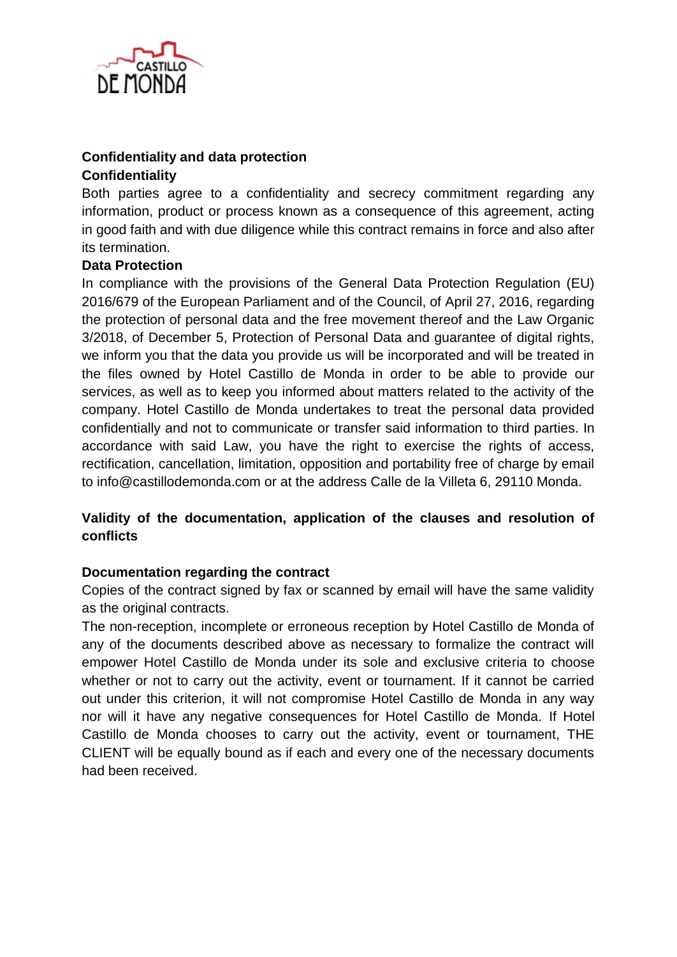

# **Confidentiality and data protection**

#### **Confidentiality**

Both parties agree to a confidentiality and secrecy commitment regarding any information, product or process known as a consequence of this agreement, acting in good faith and with due diligence while this contract remains in force and also after its termination.

## **Data Protection**

In compliance with the provisions of the General Data Protection Regulation (EU) 2016/679 of the European Parliament and of the Council, of April 27, 2016, regarding the protection of personal data and the free movement thereof and the Law Organic 3/2018, of December 5, Protection of Personal Data and guarantee of digital rights, we inform you that the data you provide us will be incorporated and will be treated in the files owned by Hotel Castillo de Monda in order to be able to provide our services, as well as to keep you informed about matters related to the activity of the company. Hotel Castillo de Monda undertakes to treat the personal data provided confidentially and not to communicate or transfer said information to third parties. In accordance with said Law, you have the right to exercise the rights of access, rectification, cancellation, limitation, opposition and portability free of charge by email to info@castillodemonda.com or at the address Calle de la Villeta 6, 29110 Monda.

# **Validity of the documentation, application of the clauses and resolution of conflicts**

#### **Documentation regarding the contract**

Copies of the contract signed by fax or scanned by email will have the same validity as the original contracts.

The non-reception, incomplete or erroneous reception by Hotel Castillo de Monda of any of the documents described above as necessary to formalize the contract will empower Hotel Castillo de Monda under its sole and exclusive criteria to choose whether or not to carry out the activity, event or tournament. If it cannot be carried out under this criterion, it will not compromise Hotel Castillo de Monda in any way nor will it have any negative consequences for Hotel Castillo de Monda. If Hotel Castillo de Monda chooses to carry out the activity, event or tournament, THE CLIENT will be equally bound as if each and every one of the necessary documents had been received.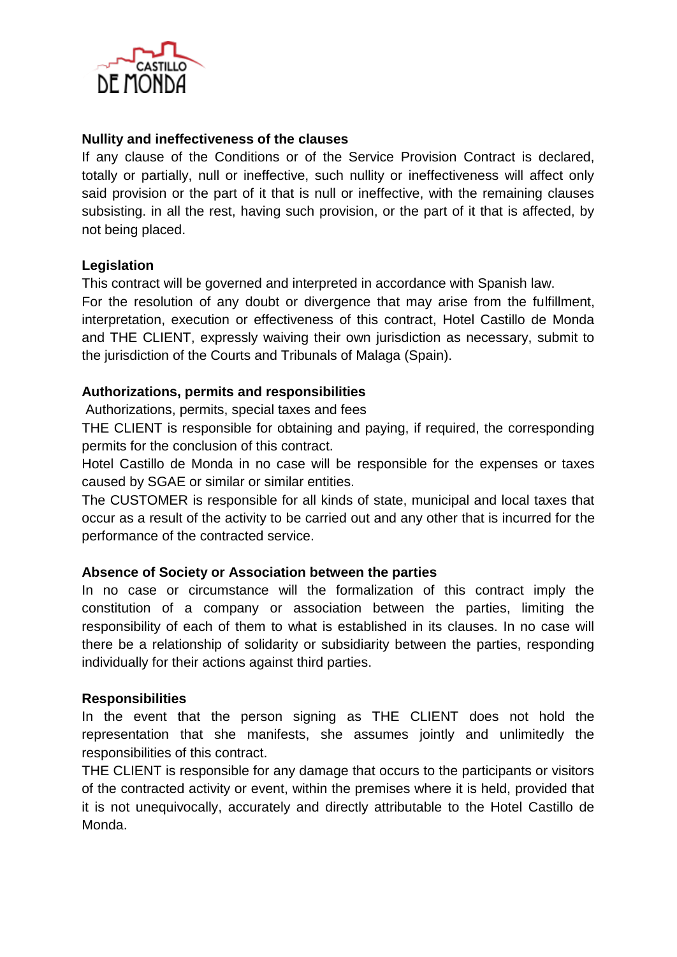

## **Nullity and ineffectiveness of the clauses**

If any clause of the Conditions or of the Service Provision Contract is declared, totally or partially, null or ineffective, such nullity or ineffectiveness will affect only said provision or the part of it that is null or ineffective, with the remaining clauses subsisting. in all the rest, having such provision, or the part of it that is affected, by not being placed.

## **Legislation**

This contract will be governed and interpreted in accordance with Spanish law.

For the resolution of any doubt or divergence that may arise from the fulfillment, interpretation, execution or effectiveness of this contract, Hotel Castillo de Monda and THE CLIENT, expressly waiving their own jurisdiction as necessary, submit to the jurisdiction of the Courts and Tribunals of Malaga (Spain).

## **Authorizations, permits and responsibilities**

Authorizations, permits, special taxes and fees

THE CLIENT is responsible for obtaining and paying, if required, the corresponding permits for the conclusion of this contract.

Hotel Castillo de Monda in no case will be responsible for the expenses or taxes caused by SGAE or similar or similar entities.

The CUSTOMER is responsible for all kinds of state, municipal and local taxes that occur as a result of the activity to be carried out and any other that is incurred for the performance of the contracted service.

#### **Absence of Society or Association between the parties**

In no case or circumstance will the formalization of this contract imply the constitution of a company or association between the parties, limiting the responsibility of each of them to what is established in its clauses. In no case will there be a relationship of solidarity or subsidiarity between the parties, responding individually for their actions against third parties.

#### **Responsibilities**

In the event that the person signing as THE CLIENT does not hold the representation that she manifests, she assumes jointly and unlimitedly the responsibilities of this contract.

THE CLIENT is responsible for any damage that occurs to the participants or visitors of the contracted activity or event, within the premises where it is held, provided that it is not unequivocally, accurately and directly attributable to the Hotel Castillo de Monda.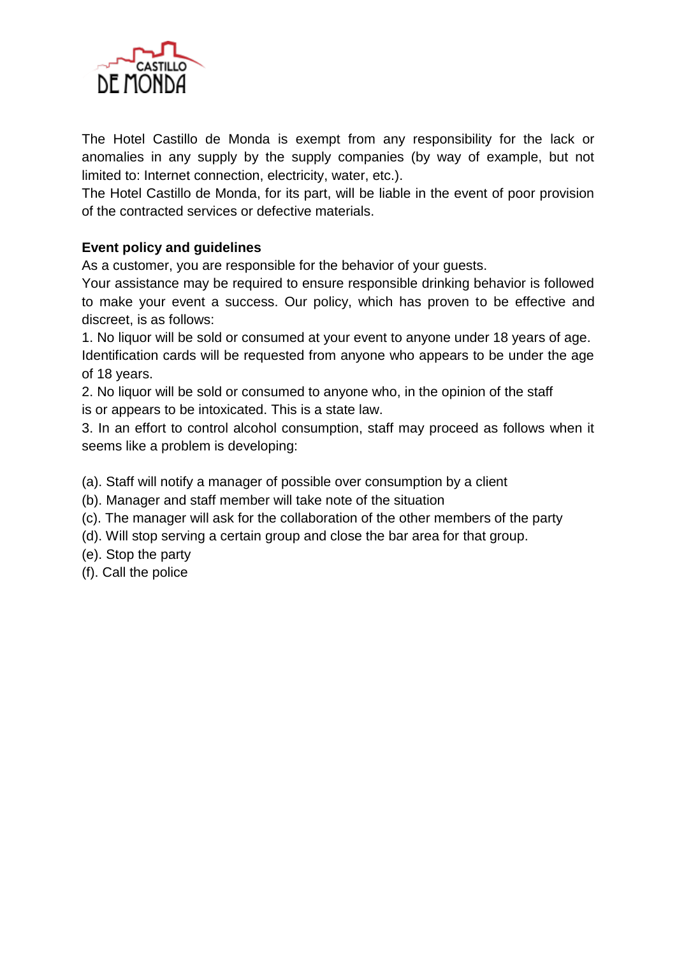

The Hotel Castillo de Monda is exempt from any responsibility for the lack or anomalies in any supply by the supply companies (by way of example, but not limited to: Internet connection, electricity, water, etc.).

The Hotel Castillo de Monda, for its part, will be liable in the event of poor provision of the contracted services or defective materials.

# **Event policy and guidelines**

As a customer, you are responsible for the behavior of your guests.

Your assistance may be required to ensure responsible drinking behavior is followed to make your event a success. Our policy, which has proven to be effective and discreet, is as follows:

1. No liquor will be sold or consumed at your event to anyone under 18 years of age. Identification cards will be requested from anyone who appears to be under the age of 18 years.

2. No liquor will be sold or consumed to anyone who, in the opinion of the staff is or appears to be intoxicated. This is a state law.

3. In an effort to control alcohol consumption, staff may proceed as follows when it seems like a problem is developing:

(a). Staff will notify a manager of possible over consumption by a client

- (b). Manager and staff member will take note of the situation
- (c). The manager will ask for the collaboration of the other members of the party
- (d). Will stop serving a certain group and close the bar area for that group.
- (e). Stop the party
- (f). Call the police